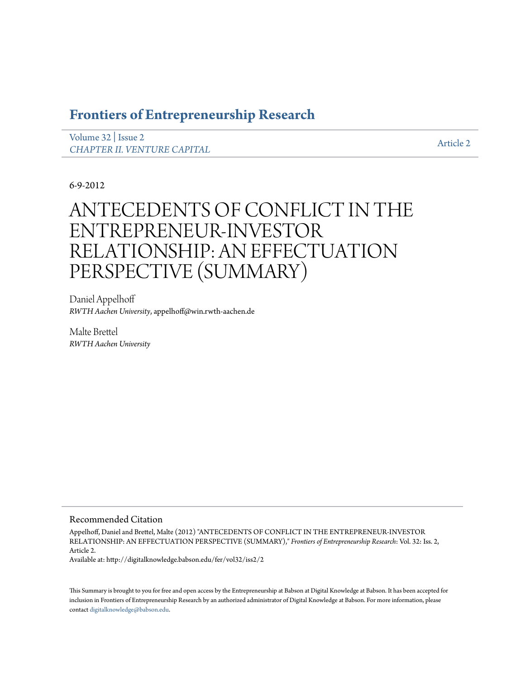# **[Frontiers of Entrepreneurship Research](http://digitalknowledge.babson.edu/fer)**

[Volume 32](http://digitalknowledge.babson.edu/fer/vol32) | [Issue 2](http://digitalknowledge.babson.edu/fer/vol32/iss2) *[CHAPTER II. VENTURE CAPITAL](http://digitalknowledge.babson.edu/fer/vol32/iss2)* and the contract of the contract of the contract of the contract of the contract of the contract of the contract of the contract of the contract of the contract of the contract of the contract

6-9-2012

# ANTECEDENTS OF CONFLICT IN THE ENTREPRENEUR-INVESTOR RELATIONSHIP: AN EFFECTUATION PERSPECTIVE (SUMMARY)

Daniel Appelhoff *RWTH Aachen University*, appelhoff@win.rwth-aachen.de

Malte Brettel *RWTH Aachen University*

# Recommended Citation

Appelhoff, Daniel and Brettel, Malte (2012) "ANTECEDENTS OF CONFLICT IN THE ENTREPRENEUR-INVESTOR RELATIONSHIP: AN EFFECTUATION PERSPECTIVE (SUMMARY)," *Frontiers of Entrepreneurship Research*: Vol. 32: Iss. 2, Article 2.

Available at: http://digitalknowledge.babson.edu/fer/vol32/iss2/2

This Summary is brought to you for free and open access by the Entrepreneurship at Babson at Digital Knowledge at Babson. It has been accepted for inclusion in Frontiers of Entrepreneurship Research by an authorized administrator of Digital Knowledge at Babson. For more information, please contact [digitalknowledge@babson.edu](mailto:digitalknowledge@babson.edu).